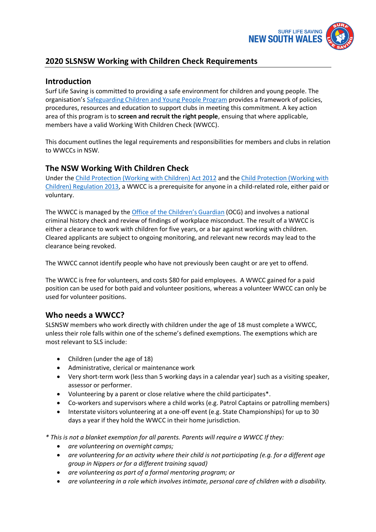

# **2020 SLSNSW Working with Children Check Requirements**

# **Introduction**

Surf Life Saving is committed to providing a safe environment for children and young people. The organisation's [Safeguarding Children and Young People Program](https://www.surflifesaving.com.au/resources/member-safeguarding) provides a framework of policies, procedures, resources and education to support clubs in meeting this commitment. A key action area of this program is to **screen and recruit the right people**, ensuing that where applicable, members have a valid Working With Children Check (WWCC).

This document outlines the legal requirements and responsibilities for members and clubs in relation to WWCCs in NSW.

# **The NSW Working With Children Check**

Under the [Child Protection \(Working with Children\) Act 2012](http://www.legislation.nsw.gov.au/maintop/view/inforce/act+51+2012+cd+0+N) and the [Child Protection \(Working with](http://www.legislation.nsw.gov.au/maintop/view/inforce/subordleg+156+2013+cd+0+N)  [Children\) Regulation 2013,](http://www.legislation.nsw.gov.au/maintop/view/inforce/subordleg+156+2013+cd+0+N) a WWCC is a prerequisite for anyone in a child-related role, either paid or voluntary.

The WWCC is managed by the [Office of the Children's Guardia](http://www.kidsguardian.nsw.gov.au/)n (OCG) and involves a national criminal history check and review of findings of workplace misconduct. The result of a WWCC is either a clearance to work with children for five years, or a bar against working with children. Cleared applicants are subject to ongoing monitoring, and relevant new records may lead to the clearance being revoked.

The WWCC cannot identify people who have not previously been caught or are yet to offend.

The WWCC is free for volunteers, and costs \$80 for paid employees. A WWCC gained for a paid position can be used for both paid and volunteer positions, whereas a volunteer WWCC can only be used for volunteer positions.

## **Who needs a WWCC?**

SLSNSW members who work directly with children under the age of 18 must complete a WWCC, unless their role falls within one of the scheme's defined exemptions. The exemptions which are most relevant to SLS include:

- Children (under the age of 18)
- Administrative, clerical or maintenance work
- Very short-term work (less than 5 working days in a calendar year) such as a visiting speaker, assessor or performer.
- Volunteering by a parent or close relative where the child participates\*.
- Co-workers and supervisors where a child works (e.g. Patrol Captains or patrolling members)
- Interstate visitors volunteering at a one-off event (e.g. State Championships) for up to 30 days a year if they hold the WWCC in their home jurisdiction.

*\* This is not a blanket exemption for all parents. Parents will require a WWCC If they:*

- *are volunteering on overnight camps;*
- *are volunteering for an activity where their child is not participating (e.g. for a different age group in Nippers or for a different training squad)*
- *are volunteering as part of a formal mentoring program; or*
- *are volunteering in a role which involves intimate, personal care of children with a disability.*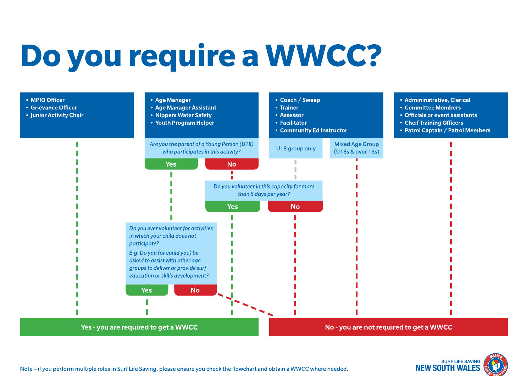# Do you require a WWCC?





Note – if you perform multiple roles in Surf Life Saving, please ensure you check the flowchart and obtain a WWCC where needed.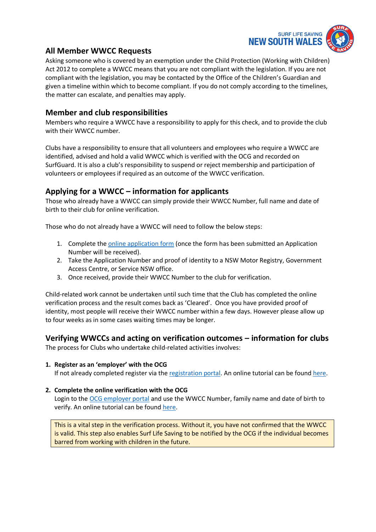

# **All Member WWCC Requests**

Asking someone who is covered by an exemption under the Child Protection (Working with Children) Act 2012 to complete a WWCC means that you are not compliant with the legislation. If you are not compliant with the legislation, you may be contacted by the Office of the Children's Guardian and given a timeline within which to become compliant. If you do not comply according to the timelines, the matter can escalate, and penalties may apply.

### **Member and club responsibilities**

Members who require a WWCC have a responsibility to apply for this check, and to provide the club with their WWCC number.

Clubs have a responsibility to ensure that all volunteers and employees who require a WWCC are identified, advised and hold a valid WWCC which is verified with the OCG and recorded on SurfGuard. It is also a club's responsibility to suspend or reject membership and participation of volunteers or employees if required as an outcome of the WWCC verification.

## **Applying for a WWCC – information for applicants**

Those who already have a WWCC can simply provide their WWCC Number, full name and date of birth to their club for online verification.

Those who do not already have a WWCC will need to follow the below steps:

- 1. Complete the [online application form](https://wwccheck.ccyp.nsw.gov.au/Applicants/Application) (once the form has been submitted an Application Number will be received).
- 2. Take the Application Number and proof of identity to a NSW Motor Registry, Government Access Centre, or Service NSW office.
- 3. Once received, provide their WWCC Number to the club for verification.

Child-related work cannot be undertaken until such time that the Club has completed the online verification process and the result comes back as 'Cleared'. Once you have provided proof of identity, most people will receive their WWCC number within a few days. However please allow up to four weeks as in some cases waiting times may be longer.

## **Verifying WWCCs and acting on verification outcomes – information for clubs**

The process for Clubs who undertake child-related activities involves:

#### **1. Register as an 'employer' with the OCG**

If not already completed register via the [registration portal.](https://wwccheck.ccyp.nsw.gov.au/Employers/Registration/Create) An online tutorial can be found [here.](https://www.youtube.com/watch?v=1pVxHDQ9yBs)

#### **2. Complete the online verification with the OCG**

Login to the [OCG employer portal](https://wwccheck.ccyp.nsw.gov.au/Employers/Login) and use the WWCC Number, family name and date of birth to verify. An online tutorial can be found [here.](https://www.youtube.com/watch?v=2qUq_59Zmzc)

This is a vital step in the verification process. Without it, you have not confirmed that the WWCC is valid. This step also enables Surf Life Saving to be notified by the OCG if the individual becomes barred from working with children in the future.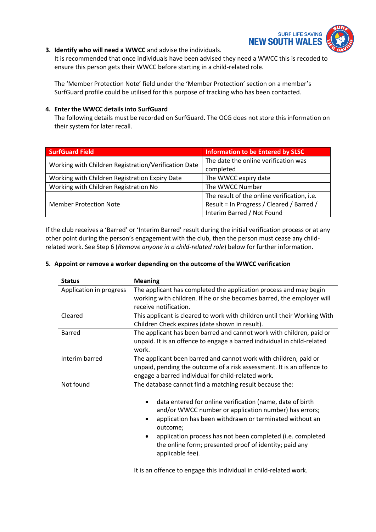

#### **3. Identify who will need a WWCC** and advise the individuals.

It is recommended that once individuals have been advised they need a WWCC this is recoded to ensure this person gets their WWCC before starting in a child-related role.

The 'Member Protection Note' field under the 'Member Protection' section on a member's SurfGuard profile could be utilised for this purpose of tracking who has been contacted.

#### **4. Enter the WWCC details into SurfGuard**

The following details must be recorded on SurfGuard. The OCG does not store this information on their system for later recall.

| <b>SurfGuard Field</b>                               | <b>Information to be Entered by SLSC</b>    |
|------------------------------------------------------|---------------------------------------------|
| Working with Children Registration/Verification Date | The date the online verification was        |
|                                                      | completed                                   |
| Working with Children Registration Expiry Date       | The WWCC expiry date                        |
| Working with Children Registration No                | The WWCC Number                             |
| <b>Member Protection Note</b>                        | The result of the online verification, i.e. |
|                                                      | Result = In Progress / Cleared / Barred /   |
|                                                      | Interim Barred / Not Found                  |

If the club receives a 'Barred' or 'Interim Barred' result during the initial verification process or at any other point during the person's engagement with the club, then the person must cease any childrelated work. See Step 6 (*Remove anyone in a child-related role*) below for further information.

#### **5. Appoint or remove a worker depending on the outcome of the WWCC verification**

| <b>Status</b>           | <b>Meaning</b>                                                                                                                                                                                                                                                                                                                                                                                   |
|-------------------------|--------------------------------------------------------------------------------------------------------------------------------------------------------------------------------------------------------------------------------------------------------------------------------------------------------------------------------------------------------------------------------------------------|
| Application in progress | The applicant has completed the application process and may begin<br>working with children. If he or she becomes barred, the employer will<br>receive notification.                                                                                                                                                                                                                              |
| Cleared                 | This applicant is cleared to work with children until their Working With<br>Children Check expires (date shown in result).                                                                                                                                                                                                                                                                       |
| Barred                  | The applicant has been barred and cannot work with children, paid or<br>unpaid. It is an offence to engage a barred individual in child-related<br>work.                                                                                                                                                                                                                                         |
| Interim barred          | The applicant been barred and cannot work with children, paid or<br>unpaid, pending the outcome of a risk assessment. It is an offence to<br>engage a barred individual for child-related work.                                                                                                                                                                                                  |
| Not found               | The database cannot find a matching result because the:<br>data entered for online verification (name, date of birth<br>and/or WWCC number or application number) has errors;<br>application has been withdrawn or terminated without an<br>outcome;<br>application process has not been completed (i.e. completed<br>the online form; presented proof of identity; paid any<br>applicable fee). |

It is an offence to engage this individual in child-related work.